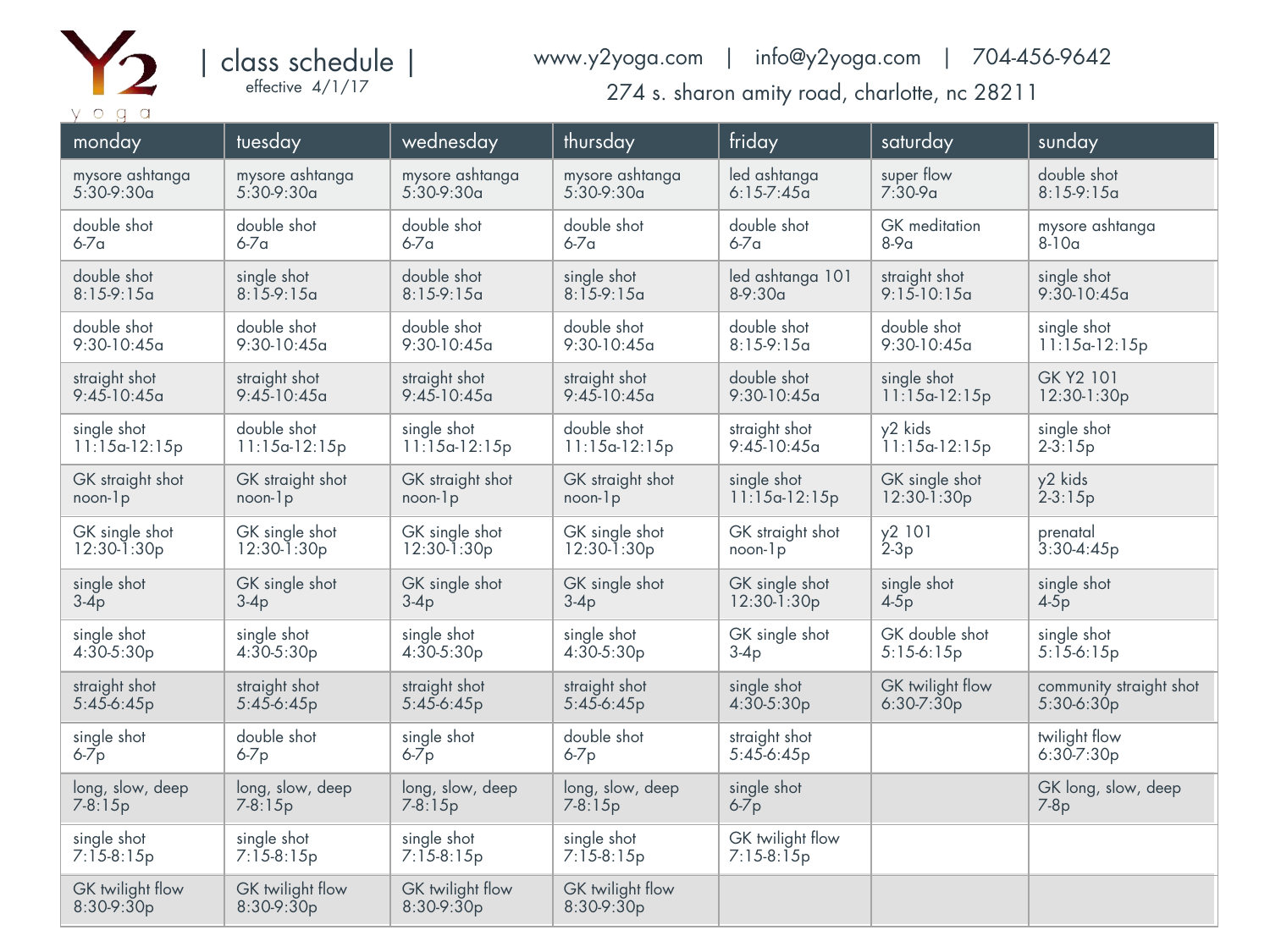

| class schedule | effective 4/1/17

## www.y2yoga.com | info@y2yoga.com | 704-456-9642

274 s. sharon amity road, charlotte, nc 28211

| monday                           | tuesday                          | wednesday                        | thursday                         | friday                           | saturday         | sunday                  |
|----------------------------------|----------------------------------|----------------------------------|----------------------------------|----------------------------------|------------------|-------------------------|
| mysore ashtanga                  | mysore ashtanga                  | mysore ashtanga                  | mysore ashtanga                  | led ashtanga                     | super flow       | double shot             |
| $5:30-9:30a$                     | $5:30-9:30a$                     | $5:30-9:30a$                     | $5:30-9:30a$                     | $6:15-7:45a$                     | $7:30-9a$        | $8:15-9:15a$            |
| double shot                      | double shot                      | double shot                      | double shot                      | double shot                      | GK meditation    | mysore ashtanga         |
| $6-7a$                           | $6-7a$                           | $6-7a$                           | $6-7a$                           | $6-7a$                           | $8-9a$           | $8-10a$                 |
| double shot                      | single shot                      | double shot                      | single shot                      | led ashtanga 101                 | straight shot    | single shot             |
| $8:15-9:15a$                     | $8:15-9:15a$                     | $8:15-9:15a$                     | $8:15-9:15a$                     | $8-9:30a$                        | $9:15-10:15a$    | $9:30-10:45a$           |
| double shot                      | double shot                      | double shot                      | double shot                      | double shot                      | double shot      | single shot             |
| $9:30-10:45a$                    | $9:30-10:45a$                    | $9:30-10:45a$                    | $9:30-10:45a$                    | $8:15-9:15a$                     | $9:30-10:45a$    | $11:15a-12:15p$         |
| straight shot                    | straight shot                    | straight shot                    | straight shot                    | double shot                      | single shot      | GK Y2 101               |
| $9:45 - 10:45a$                  | $9:45-10:45a$                    | $9:45-10:45a$                    | $9:45 - 10:45a$                  | $9:30-10:45a$                    | $11:15a-12:15p$  | 12:30-1:30p             |
| single shot                      | double shot                      | single shot                      | double shot                      | straight shot                    | y2 kids          | single shot             |
| $11:15a-12:15p$                  | $11:15a-12:15p$                  | $11:15a-12:15p$                  | $11:15a-12:15p$                  | $9:45-10:45a$                    | $1!15a-12:15p$   | $2 - 3:15p$             |
| GK straight shot                 | GK straight shot                 | GK straight shot                 | GK straight shot                 | single shot                      | GK single shot   | y2 kids                 |
| $noon-lp$                        | $noon-lp$                        | $noon-lp$                        | $noon-lp$                        | $11:15a-12:15p$                  | $12:30-1:30p$    | $2 - 3:15p$             |
| GK single shot                   | GK single shot                   | GK single shot                   | GK single shot                   | GK straight shot                 | y2 101           | prenatal                |
| $12:30 - 1:30p$                  | $12:30-1:30p$                    | $12:30-1:30p$                    | 12:30-1:30p                      | noon-1p                          | $2-3p$           | $3:30-4:45p$            |
| single shot                      | GK single shot                   | GK single shot                   | GK single shot                   | GK single shot                   | single shot      | single shot             |
| $3-4p$                           | $3-4p$                           | $3-4p$                           | $3-4p$                           | $12:30 - 1:30p$                  | $4-5p$           | $4-5p$                  |
| single shot                      | single shot                      | single shot                      | single shot                      | GK single shot                   | GK double shot   | single shot             |
| $4:30-5:30p$                     | $4:30-5:30p$                     | $4:30-5:30p$                     | $4:30-5:30p$                     | $3-4p$                           | $5:15-6:15p$     | $5:15-6:15p$            |
| straight shot                    | straight shot                    | straight shot                    | straight shot                    | single shot                      | GK twilight flow | community straight shot |
| $5:45-6:45p$                     | $5:45-6:45p$                     | $5:45-6:45p$                     | $5:45-6:45p$                     | $4:30-5:30p$                     | $6:30-7:30p$     | 5:30-6:30p              |
| single shot                      | double shot                      | single shot                      | double shot                      | straight shot                    |                  | twilight flow           |
| $6-7p$                           | $6-7p$                           | $6-7p$                           | $6-7p$                           | $5:45-6:45p$                     |                  | $6:30 - 7:30p$          |
| long, slow, deep                 | long, slow, deep                 | long, slow, deep                 | long, slow, deep                 | single shot                      |                  | GK long, slow, deep     |
| $7 - 8:15p$                      | $7 - 8:15p$                      | $7 - 8:15p$                      | $7 - 8:15p$                      | $6-7p$                           |                  | $7-8p$                  |
| single shot<br>$7:15-8:15p$      | single shot<br>$7:15-8:15p$      | single shot<br>$7:15-8:15p$      | single shot<br>$7:15-8:15p$      | GK twilight flow<br>$7:15-8:15p$ |                  |                         |
| GK twilight flow<br>$8:30-9:30p$ | GK twilight flow<br>$8:30-9:30p$ | GK twilight flow<br>$8:30-9:30p$ | GK twilight flow<br>$8:30-9:30p$ |                                  |                  |                         |